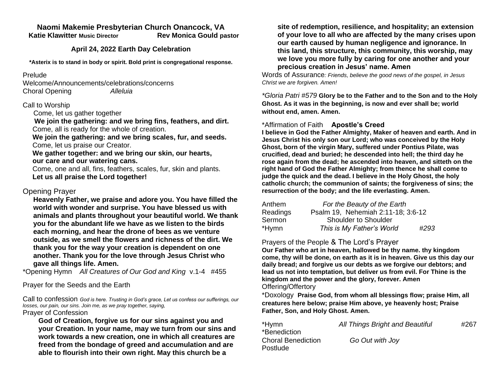#### **Naomi Makemie Presbyterian Church Onancock, VA Katie Klawitter Music Director Rev Monica Gould pastor**

## **April 24, 2022 Earth Day Celebration**

**\*Asterix is to stand in body or spirit. Bold print is congregational response.**

### Prelude

Welcome/Announcements/celebrations/concerns Choral Opening *Alleluia*

### Call to Worship

Come, let us gather together

 **We join the gathering: and we bring fins, feathers, and dirt.** Come, all is ready for the whole of creation.

 **We join the gathering: and we bring scales, fur, and seeds.** Come, let us praise our Creator.

### **We gather together: and we bring our skin, our hearts, our care and our watering cans.**

 Come, one and all, fins, feathers, scales, fur, skin and plants.  **Let us all praise the Lord together!**

# Opening Prayer

**Heavenly Father, we praise and adore you. You have filled the world with wonder and surprise. You have blessed us with animals and plants throughout your beautiful world. We thank you for the abundant life we have as we listen to the birds each morning, and hear the drone of bees as we venture outside, as we smell the flowers and richness of the dirt. We thank you for the way your creation is dependent on one another. Thank you for the love through Jesus Christ who gave all things life. Amen.** 

\*Opening Hymn *All Creatures of Our God and King* v.1-4 #455

Prayer for the Seeds and the Earth

Call to confession *God is here. Trusting in God's grace, Let us confess our sufferings, our losses, our pain, our sins. Join me, as we pray together, saying,* Prayer of Confession

**God of Creation, forgive us for our sins against you and your Creation. In your name, may we turn from our sins and work towards a new creation, one in which all creatures are freed from the bondage of greed and accumulation and are able to flourish into their own right. May this church be a** 

**site of redemption, resilience, and hospitality; an extension of your love to all who are affected by the many crises upon our earth caused by human negligence and ignorance. In this land, this structure, this community, this worship, may we love you more fully by caring for one another and your precious creation in Jesus' name. Amen**

Words of Assurance*: Friends, believe the good news of the gospel, in Jesus Christ we are forgiven. Amen!*

*\*Gloria Patri #579* **Glory be to the Father and to the Son and to the Holy Ghost. As it was in the beginning, is now and ever shall be; world without end, amen. Amen.** 

## \*Affirmation of Faith **Apostle's Creed**

**I believe in God the Father Almighty, Maker of heaven and earth. And in Jesus Christ his only son our Lord; who was conceived by the Holy Ghost, born of the virgin Mary, suffered under Pontius Pilate, was crucified, dead and buried; he descended into hell; the third day he rose again from the dead; he ascended into heaven, and sitteth on the right hand of God the Father Almighty; from thence he shall come to judge the quick and the dead. I believe in the Holy Ghost, the holy catholic church; the communion of saints; the forgiveness of sins; the resurrection of the body; and the life everlasting. Amen.**

| Anthem   | For the Beauty of the Earth        |      |
|----------|------------------------------------|------|
| Readings | Psalm 19, Nehemiah 2:11-18; 3:6-12 |      |
| Sermon   | <b>Shoulder to Shoulder</b>        |      |
| *Hymn    | This is My Father's World          | #293 |

## Prayers of the People & The Lord's Prayer

**Our Father who art in heaven, hallowed be thy name. thy kingdom come, thy will be done, on earth as it is in heaven. Give us this day our daily bread; and forgive us our debts as we forgive our debtors; and lead us not into temptation, but deliver us from evil. For Thine is the kingdom and the power and the glory, forever. Amen** Offering/Offertory

\*Doxology **Praise God, from whom all blessings flow; praise Him, all creatures here below; praise Him above, ye heavenly host; Praise Father, Son, and Holy Ghost. Amen.** 

| *Hymn              | All Things Bright and Beautiful | #267 |
|--------------------|---------------------------------|------|
| *Benediction       |                                 |      |
| Choral Benediction | Go Out with Joy                 |      |
| Postlude.          |                                 |      |